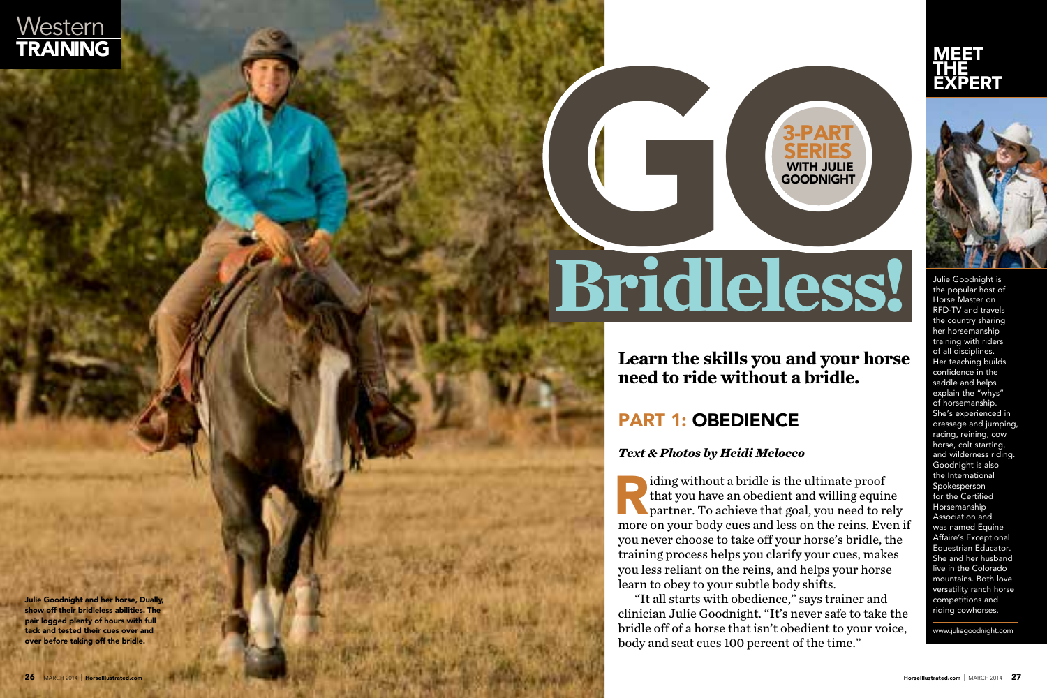

# **Bridleless!**

I ding without a bridle is the ultimate proof<br>that you have an obedient and willing equir<br>partner. To achieve that goal, you need to r<br>more on your body cues and less on the reins. Ev that you have an obedient and willing equine partner. To achieve that goal, you need to rely more on your body cues and less on the reins. Even if you never choose to take off your horse's bridle, the training process helps you clarify your cues, makes you less reliant on the reins, and helps your horse learn to obey to your subtle body shifts.

"It all starts with obedience," says trainer and clinician Julie Goodnight. "It's never safe to take the bridle off of a horse that isn't obedient to your voice, body and seat cues 100 percent of the time."

Julie Goodnight and her horse, Dually, show off their bridleless abilities. The pair logged plenty of hours with full tack and tested their cues over and over before taking off the bridle.

**Learn the skills you and your horse need to ride without a bridle.**

# **PART 1: OBEDIENCE**<br>*Text & Photos by Heidi Melocco*





Julie Goodnight is the popular host of Horse Master on RFD-TV and travels the country sharing her horsemanship training with riders of all disciplines. Her teaching builds confidence in the saddle and helps explain the "whys" of horsemanship. She's experienced in dressage and jumping, racing, reining, cow horse, colt starting, and wilderness riding. Goodnight is also the International Spokesperson for the Certified Horsemanship Association and was named Equine Affaire's Exceptional Equestrian Educator. She and her husband live in the Colorado mountains. Both love versatility ranch horse competitions and riding cowhorses.

www.juliegoodnight.com

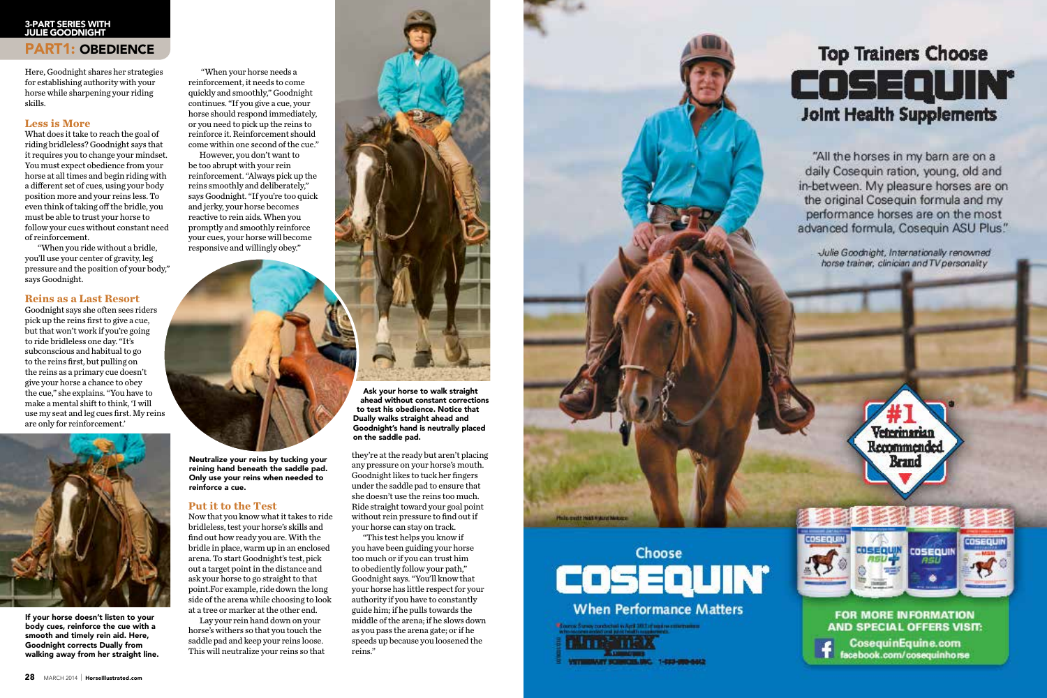Here, Goodnight shares her strategies for establishing authority with your horse while sharpening your riding skills.

### **Less is More**

What does it take to reach the goal of riding bridleless? Goodnight says that it requires you to change your mindset. You must expect obedience from your horse at all times and begin riding with a different set of cues, using your body position more and your reins less. To even think of taking off the bridle, you must be able to trust your horse to follow your cues without constant need of reinforcement.

 "When you ride without a bridle, you'll use your center of gravity, leg pressure and the position of your body," says Goodnight.

### **Reins as a Last Resort**

Goodnight says she often sees riders pick up the reins first to give a cue, but that won't work if you're going to ride bridleless one day. "It's subconscious and habitual to go to the reins first, but pulling on the reins as a primary cue doesn't give your horse a chance to obey the cue," she explains. "You have to make a mental shift to think, 'I will use my seat and leg cues first. My reins are only for reinforcement.'



 "When your horse needs a reinforcement, it needs to come quickly and smoothly," Goodnight continues. "If you give a cue, your horse should respond immediately, or you need to pick up the reins to reinforce it. Reinforcement should come within one second of the cue."

However, you don't want to be too abrupt with your rein reinforcement. "Always pick up the reins smoothly and deliberately," says Goodnight. "If you're too quick and jerky, your horse becomes reactive to rein aids. When you promptly and smoothly reinforce your cues, your horse will become responsive and willingly obey."



### PART1: OBEDIENCE 3-Part Series with Julie Goodnight

### **Put it to the Test**

Now that you know what it takes to ride bridleless, test your horse's skills and find out how ready you are. With the bridle in place, warm up in an enclosed arena. To start Goodnight's test, pick out a target point in the distance and ask your horse to go straight to that point.For example, ride down the long side of the arena while choosing to look at a tree or marker at the other end.

Lay your rein hand down on your horse's withers so that you touch the saddle pad and keep your reins loose. This will neutralize your reins so that



they're at the ready but aren't placing any pressure on your horse's mouth. Goodnight likes to tuck her fingers under the saddle pad to ensure that she doesn't use the reins too much. Ride straight toward your goal point without rein pressure to find out if your horse can stay on track.

"This test helps you know if you have been guiding your horse too much or if you can trust him to obediently follow your path," Goodnight says. "You'll know that your horse has little respect for your authority if you have to constantly guide him; if he pulls towards the middle of the arena; if he slows down as you pass the arena gate; or if he speeds up because you loosened the reins."







ilis greatif Health Wateral Melcos

# **Top Trainers Choose** COSEQUIN° **Joint Health Supplements**

"All the horses in my barn are on a daily Coseguin ration, young, old and in-between. My pleasure horses are on the original Cosequin formula and my performance horses are on the most advanced formula, Cosequin ASU Plus."

Julie Goodnight, Internationally renowned horse trainer, clinician and TV personality



### **FOR MORE INFORMATION AND SPECIAL OFFERS VISIT:**

CosequinEquine.com facebook.com/cosequinhorse

If your horse doesn't listen to your body cues, reinforce the cue with a smooth and timely rein aid. Here, Goodnight corrects Dually from walking away from her straight line.

Ask your horse to walk straight ahead without constant corrections to test his obedience. Notice that Dually walks straight ahead and Goodnight's hand is neutrally placed on the saddle pad.

Neutralize your reins by tucking your reining hand beneath the saddle pad. Only use your reins when needed to reinforce a cue.